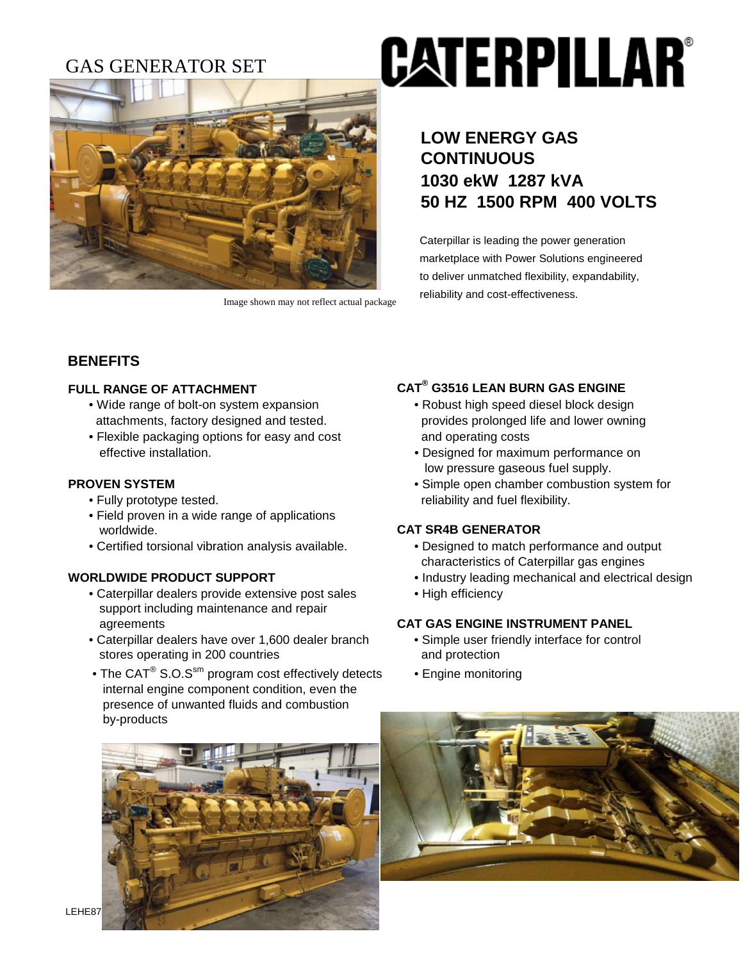### GAS GENERATOR SET



Image shown may not reflect actual package

# **CATERPILLAR®**

### **LOW ENERGY GAS CONTINUOUS 1030 ekW 1287 kVA 50 HZ 1500 RPM 400 VOLTS**

Caterpillar is leading the power generation marketplace with Power Solutions engineered to deliver unmatched flexibility, expandability, reliability and cost-effectiveness.

#### **BENEFITS**

#### **FULL RANGE OF ATTACHMENT**

- Wide range of bolt-on system expansion Robust high speed diesel block design
- Flexible packaging options for easy and cost and operating costs effective installation.  $\bullet$  Designed for maximum performance on

LEHE87

- 
- Field proven in a wide range of applications worldwide. **CAT SR4B GENERATOR**
- 

- Caterpillar dealers provide extensive post sales High efficiency support including maintenance and repair agreements **CAT GAS ENGINE INSTRUMENT PANEL**
- Caterpillar dealers have over 1,600 dealer branch Simple user friendly interface for control stores operating in 200 countries and protection
- The CAT<sup>®</sup> S.O.S<sup>sm</sup> program cost effectively detects Engine monitoring internal engine component condition, even the presence of unwanted fluids and combustion by-products



#### **G3516 LEAN BURN GAS ENGINE**

- attachments, factory designed and tested. provides prolonged life and lower owning
	- low pressure gaseous fuel supply.
- **PROVEN SYSTEM** Simple open chamber combustion system for • Fully prototype tested. The reliability and fuel flexibility.

- Certified torsional vibration analysis available. • Designed to match performance and output characteristics of Caterpillar gas engines
- **WORLDWIDE PRODUCT SUPPORT** Industry leading mechanical and electrical design
	-

- 
- 

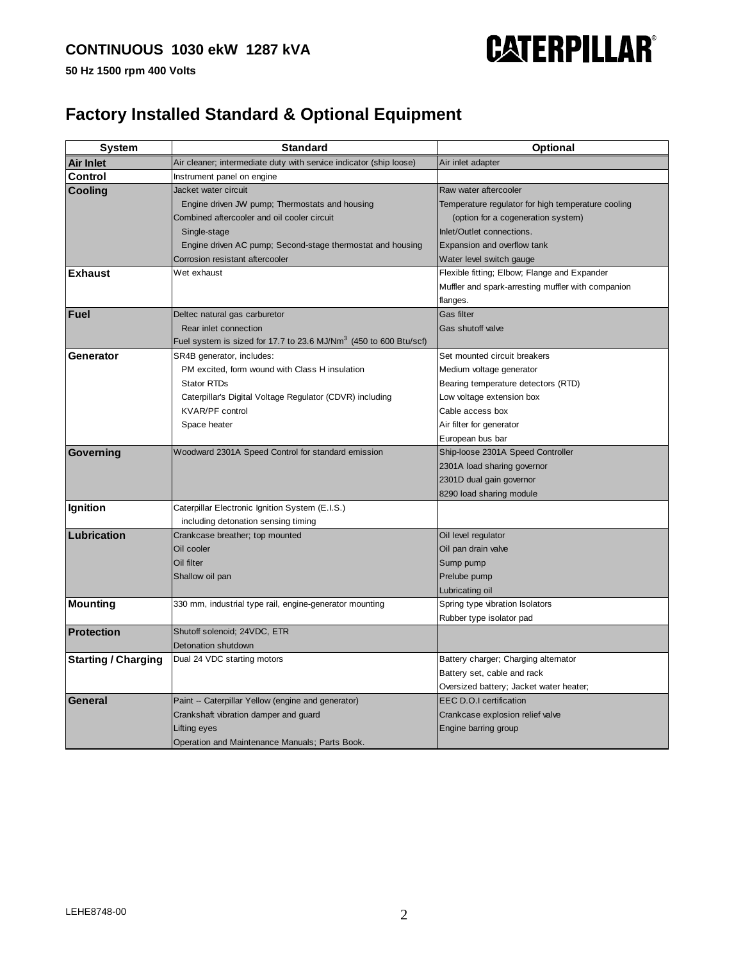## **CATERPILLAR®**

### **Factory Installed Standard & Optional Equipment**

| <b>System</b>              | <b>Standard</b>                                                               | Optional                                           |  |  |
|----------------------------|-------------------------------------------------------------------------------|----------------------------------------------------|--|--|
| <b>Air Inlet</b>           | Air cleaner; intermediate duty with service indicator (ship loose)            | Air inlet adapter                                  |  |  |
| Control                    | Instrument panel on engine                                                    |                                                    |  |  |
| Cooling                    | Jacket water circuit                                                          | Raw water aftercooler                              |  |  |
|                            | Engine driven JW pump; Thermostats and housing                                | Temperature regulator for high temperature cooling |  |  |
|                            | Combined aftercooler and oil cooler circuit                                   | (option for a cogeneration system)                 |  |  |
|                            | Single-stage                                                                  | Inlet/Outlet connections.                          |  |  |
|                            | Engine driven AC pump; Second-stage thermostat and housing                    | Expansion and overflow tank                        |  |  |
|                            | Corrosion resistant aftercooler                                               | Water level switch gauge                           |  |  |
| <b>Exhaust</b>             | Wet exhaust                                                                   | Flexible fitting; Elbow; Flange and Expander       |  |  |
|                            |                                                                               | Muffler and spark-arresting muffler with companion |  |  |
|                            |                                                                               | flanges.                                           |  |  |
| <b>Fuel</b>                | Deltec natural gas carburetor                                                 | Gas filter                                         |  |  |
|                            | Rear inlet connection                                                         | Gas shutoff valve                                  |  |  |
|                            | Fuel system is sized for 17.7 to 23.6 MJ/Nm <sup>3</sup> (450 to 600 Btu/scf) |                                                    |  |  |
| Generator                  | SR4B generator, includes:                                                     | Set mounted circuit breakers                       |  |  |
|                            | PM excited, form wound with Class H insulation                                | Medium voltage generator                           |  |  |
|                            | <b>Stator RTDs</b>                                                            | Bearing temperature detectors (RTD)                |  |  |
|                            | Caterpillar's Digital Voltage Regulator (CDVR) including                      | Low voltage extension box                          |  |  |
|                            | <b>KVAR/PF</b> control                                                        | Cable access box                                   |  |  |
|                            | Space heater                                                                  | Air filter for generator                           |  |  |
|                            |                                                                               | European bus bar                                   |  |  |
| Governing                  | Woodward 2301A Speed Control for standard emission                            | Ship-loose 2301A Speed Controller                  |  |  |
|                            |                                                                               | 2301A load sharing governor                        |  |  |
|                            |                                                                               | 2301D dual gain governor                           |  |  |
|                            |                                                                               | 8290 load sharing module                           |  |  |
| Ignition                   | Caterpillar Electronic Ignition System (E.I.S.)                               |                                                    |  |  |
|                            | including detonation sensing timing                                           |                                                    |  |  |
| Lubrication                | Crankcase breather; top mounted                                               | Oil level regulator                                |  |  |
|                            | Oil cooler                                                                    | Oil pan drain valve                                |  |  |
|                            | Oil filter                                                                    | Sump pump                                          |  |  |
|                            | Shallow oil pan                                                               | Prelube pump                                       |  |  |
|                            |                                                                               | Lubricating oil                                    |  |  |
| <b>Mounting</b>            | 330 mm, industrial type rail, engine-generator mounting                       | Spring type vibration Isolators                    |  |  |
|                            |                                                                               | Rubber type isolator pad                           |  |  |
| <b>Protection</b>          | Shutoff solenoid; 24VDC, ETR                                                  |                                                    |  |  |
|                            | Detonation shutdown                                                           |                                                    |  |  |
| <b>Starting / Charging</b> | Dual 24 VDC starting motors                                                   | Battery charger; Charging alternator               |  |  |
|                            |                                                                               | Battery set, cable and rack                        |  |  |
|                            |                                                                               | Oversized battery; Jacket water heater;            |  |  |
| General                    | Paint -- Caterpillar Yellow (engine and generator)                            | EEC D.O.I certification                            |  |  |
|                            | Crankshaft vibration damper and guard                                         | Crankcase explosion relief valve                   |  |  |
|                            | Lifting eyes                                                                  | Engine barring group                               |  |  |
|                            | Operation and Maintenance Manuals; Parts Book.                                |                                                    |  |  |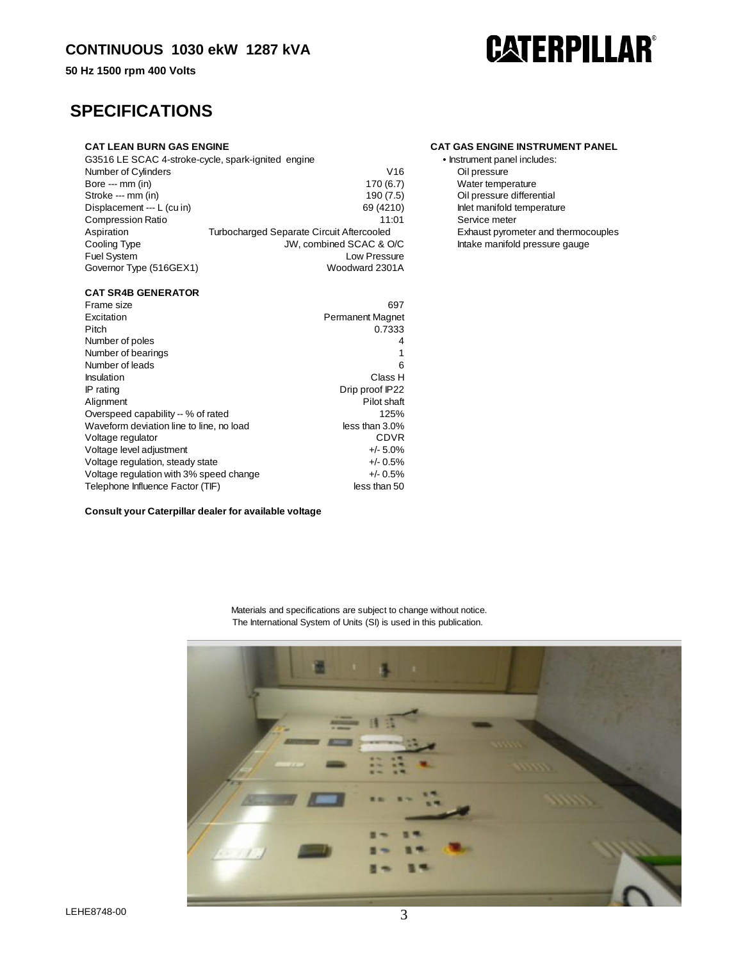#### **CONTINUOUS 1030 ekW 1287 kVA**

**50 Hz 1500 rpm 400 Volts** 

#### **SPECIFICATIONS**

#### **CAT LEAN BURN GAS ENGINE CAT GAS ENGINE INSTRUMENT PANEL** • Instrument panel includes:

Exhaust pyrometer and thermocouples

| G3516 LE SCAC 4-stroke-cycle, spark-ignited engine | • Instrument panel includes:                     |                                |
|----------------------------------------------------|--------------------------------------------------|--------------------------------|
| Number of Cylinders                                | V16                                              | Oil pressure                   |
| Bore --- mm (in)                                   | 170 (6.7)                                        | Water temperature              |
| Stroke --- mm (in)                                 | 190(7.5)                                         | Oil pressure differential      |
| Displacement --- L (cu in)                         | 69 (4210)                                        | Inlet manifold temperature     |
| <b>Compression Ratio</b>                           | 11:01                                            | Service meter                  |
| Aspiration                                         | <b>Turbocharged Separate Circuit Aftercooled</b> | Exhaust pyrometer and thermoc  |
| Cooling Type                                       | JW, combined SCAC & O/C                          | Intake manifold pressure gauge |
| <b>Fuel System</b>                                 | Low Pressure                                     |                                |
| Governor Type (516GEX1)                            | Woodward 2301A                                   |                                |
|                                                    |                                                  |                                |

#### **CAT SR4B GENERATOR**

| Frame size                               | 697                     |  |
|------------------------------------------|-------------------------|--|
| Excitation                               | <b>Permanent Magnet</b> |  |
| Pitch                                    | 0.7333                  |  |
| Number of poles                          | 4                       |  |
| Number of bearings                       | 1                       |  |
| Number of leads                          | 6                       |  |
| <b>Insulation</b>                        | Class H                 |  |
| IP rating                                | Drip proof IP22         |  |
| Alignment                                | Pilot shaft             |  |
| Overspeed capability -- % of rated       | 125%                    |  |
| Waveform deviation line to line, no load | less than 3.0%          |  |
| Voltage regulator                        | CDVR                    |  |
| Voltage level adjustment                 | $+/- 5.0\%$             |  |
| Voltage regulation, steady state         | $+/- 0.5%$              |  |
| Voltage regulation with 3% speed change  | $+/- 0.5%$              |  |
| Telephone Influence Factor (TIF)         | less than 50            |  |

**Consult your Caterpillar dealer for available voltage** 



The International System of Units (SI) is used in this publication. Materials and specifications are subject to change without notice.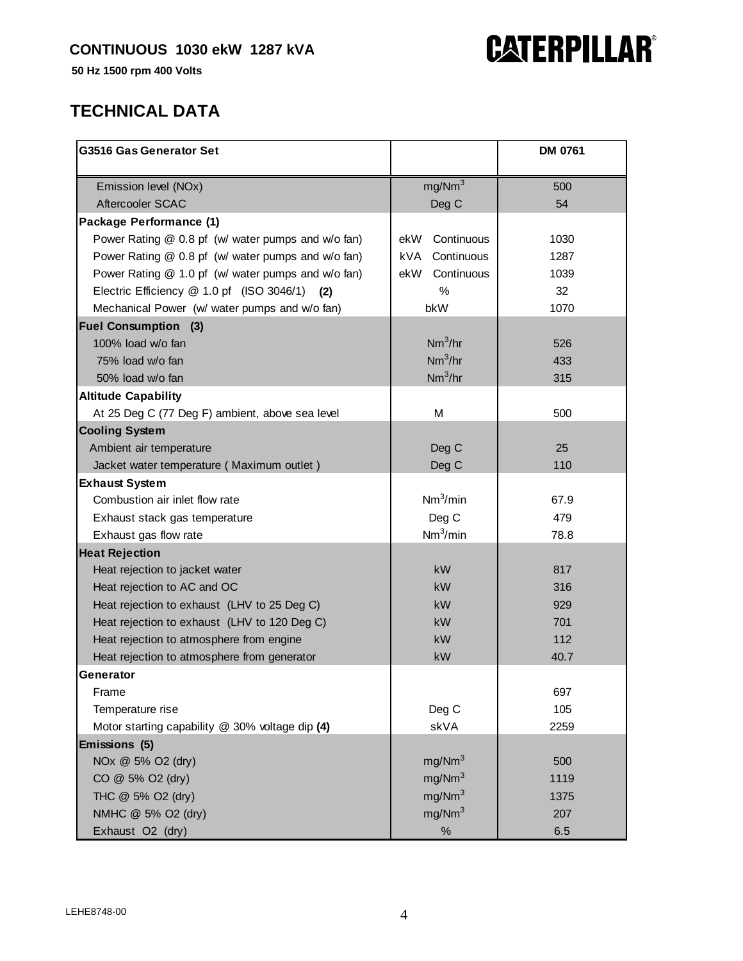## **CATERPILLAR®**

 **50 Hz 1500 rpm 400 Volts** 

### **TECHNICAL DATA**

| <b>G3516 Gas Generator Set</b>                     |                      | <b>DM 0761</b> |
|----------------------------------------------------|----------------------|----------------|
| Emission level (NOx)                               | mg/Nm <sup>3</sup>   | 500            |
| Aftercooler SCAC                                   | Deg C                | 54             |
| Package Performance (1)                            |                      |                |
| Power Rating @ 0.8 pf (w/ water pumps and w/o fan) | Continuous<br>ekW    | 1030           |
| Power Rating @ 0.8 pf (w/ water pumps and w/o fan) | kVA.<br>Continuous   | 1287           |
| Power Rating @ 1.0 pf (w/ water pumps and w/o fan) | Continuous<br>ekW    | 1039           |
| Electric Efficiency @ 1.0 pf (ISO 3046/1) (2)      | %                    | 32             |
| Mechanical Power (w/ water pumps and w/o fan)      | bkW                  | 1070           |
| <b>Fuel Consumption (3)</b>                        |                      |                |
| 100% load w/o fan                                  | $Nm^3/hr$            | 526            |
| 75% load w/o fan                                   | Nm <sup>3</sup> /hr  | 433            |
| 50% load w/o fan                                   | Nm <sup>3</sup> /hr  | 315            |
| <b>Altitude Capability</b>                         |                      |                |
| At 25 Deg C (77 Deg F) ambient, above sea level    | M                    | 500            |
| <b>Cooling System</b>                              |                      |                |
| Ambient air temperature                            | Deg C                | 25             |
| Jacket water temperature (Maximum outlet)          | Deg C                | 110            |
| <b>Exhaust System</b>                              |                      |                |
| Combustion air inlet flow rate                     | Nm <sup>3</sup> /min | 67.9           |
| Exhaust stack gas temperature                      | Deg C                | 479            |
| Exhaust gas flow rate                              | Nm <sup>3</sup> /min | 78.8           |
| <b>Heat Rejection</b>                              |                      |                |
| Heat rejection to jacket water                     | kW                   | 817            |
| Heat rejection to AC and OC                        | kW                   | 316            |
| Heat rejection to exhaust (LHV to 25 Deg C)        | kW                   | 929            |
| Heat rejection to exhaust (LHV to 120 Deg C)       | kW                   | 701            |
| Heat rejection to atmosphere from engine           | kW                   | 112            |
| Heat rejection to atmosphere from generator        | kW                   | 40.7           |
| Generator                                          |                      |                |
| Frame                                              |                      | 697            |
| Temperature rise                                   | Deg C                | 105            |
| Motor starting capability @ 30% voltage dip (4)    | skVA                 | 2259           |
| Emissions (5)                                      |                      |                |
| NOx @ 5% O2 (dry)                                  | mg/Nm <sup>3</sup>   | 500            |
| CO @ 5% O2 (dry)                                   | mg/Nm <sup>3</sup>   | 1119           |
| THC @ 5% O2 (dry)                                  | mg/Nm <sup>3</sup>   | 1375           |
| NMHC @ 5% O2 (dry)                                 | mg/Nm <sup>3</sup>   | 207            |
| Exhaust O2 (dry)                                   | $\%$                 | 6.5            |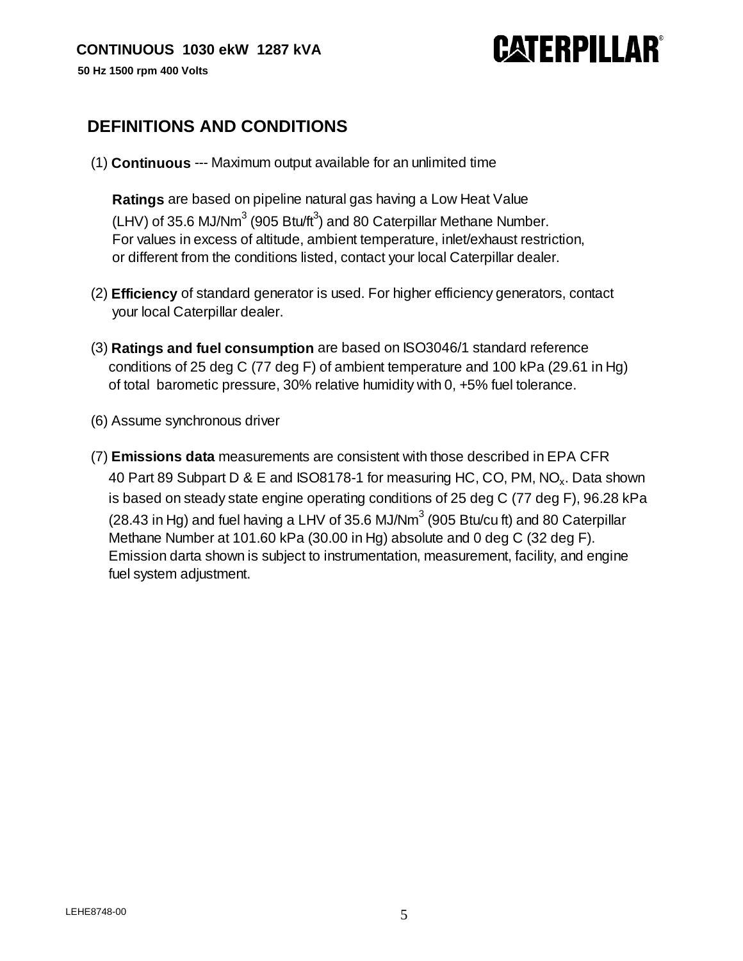## **CATERPILLAR®**

### **DEFINITIONS AND CONDITIONS**

(1) **Continuous** --- Maximum output available for an unlimited time

 **Ratings** are based on pipeline natural gas having a Low Heat Value (LHV) of 35.6 MJ/Nm<sup>3</sup> (905 Btu/ft<sup>3</sup>) and 80 Caterpillar Methane Number. For values in excess of altitude, ambient temperature, inlet/exhaust restriction, or different from the conditions listed, contact your local Caterpillar dealer.

- (2) **Efficiency** of standard generator is used. For higher efficiency generators, contact your local Caterpillar dealer.
- (3) **Ratings and fuel consumption** are based on ISO3046/1 standard reference conditions of 25 deg C (77 deg F) of ambient temperature and 100 kPa (29.61 in Hg) of total barometic pressure, 30% relative humidity with 0, +5% fuel tolerance.
- (6) Assume synchronous driver
- (7) **Emissions data** measurements are consistent with those described in EPA CFR 40 Part 89 Subpart D & E and ISO8178-1 for measuring HC, CO, PM,  $NO<sub>x</sub>$ . Data shown is based on steady state engine operating conditions of 25 deg C (77 deg F), 96.28 kPa (28.43 in Hg) and fuel having a LHV of 35.6 MJ/Nm<sup>3</sup> (905 Btu/cu ft) and 80 Caterpillar Methane Number at 101.60 kPa (30.00 in Hg) absolute and 0 deg C (32 deg F). Emission darta shown is subject to instrumentation, measurement, facility, and engine fuel system adjustment.